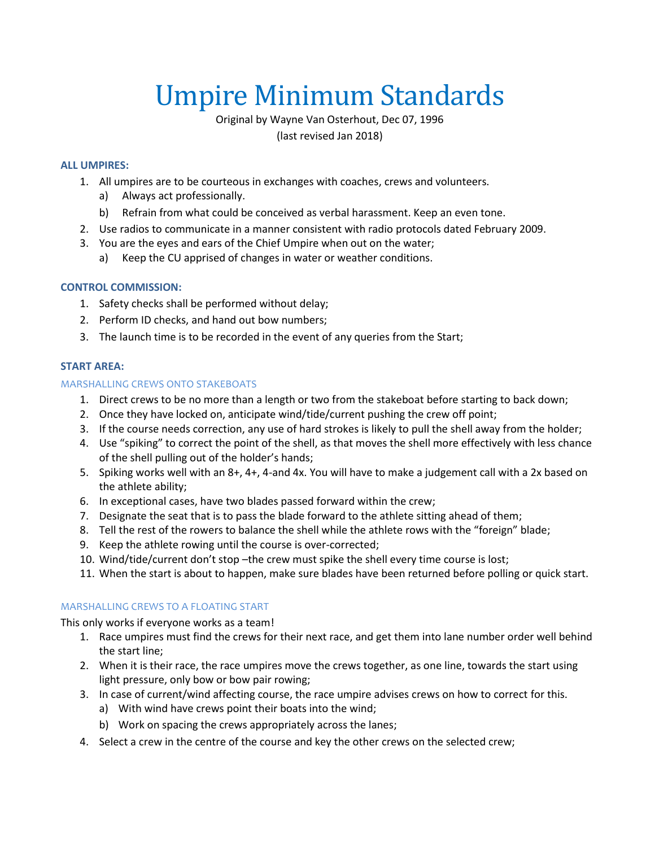# Umpire Minimum Standards

Original by Wayne Van Osterhout, Dec 07, 1996 (last revised Jan 2018)

#### **ALL UMPIRES:**

- 1. All umpires are to be courteous in exchanges with coaches, crews and volunteers.
	- a) Always act professionally.
	- b) Refrain from what could be conceived as verbal harassment. Keep an even tone.
- 2. Use radios to communicate in a manner consistent with radio protocols dated February 2009.
- 3. You are the eyes and ears of the Chief Umpire when out on the water;
	- a) Keep the CU apprised of changes in water or weather conditions.

# **CONTROL COMMISSION:**

- 1. Safety checks shall be performed without delay;
- 2. Perform ID checks, and hand out bow numbers;
- 3. The launch time is to be recorded in the event of any queries from the Start;

#### **START AREA:**

#### MARSHALLING CREWS ONTO STAKEBOATS

- 1. Direct crews to be no more than a length or two from the stakeboat before starting to back down;
- 2. Once they have locked on, anticipate wind/tide/current pushing the crew off point;
- 3. If the course needs correction, any use of hard strokes is likely to pull the shell away from the holder;
- 4. Use "spiking" to correct the point of the shell, as that moves the shell more effectively with less chance of the shell pulling out of the holder's hands;
- 5. Spiking works well with an 8+, 4+, 4-and 4x. You will have to make a judgement call with a 2x based on the athlete ability;
- 6. In exceptional cases, have two blades passed forward within the crew;
- 7. Designate the seat that is to pass the blade forward to the athlete sitting ahead of them;
- 8. Tell the rest of the rowers to balance the shell while the athlete rows with the "foreign" blade;
- 9. Keep the athlete rowing until the course is over-corrected;
- 10. Wind/tide/current don't stop –the crew must spike the shell every time course is lost;
- 11. When the start is about to happen, make sure blades have been returned before polling or quick start.

# MARSHALLING CREWS TO A FLOATING START

This only works if everyone works as a team!

- 1. Race umpires must find the crews for their next race, and get them into lane number order well behind the start line;
- 2. When it is their race, the race umpires move the crews together, as one line, towards the start using light pressure, only bow or bow pair rowing;
- 3. In case of current/wind affecting course, the race umpire advises crews on how to correct for this.
	- a) With wind have crews point their boats into the wind;
	- b) Work on spacing the crews appropriately across the lanes;
- 4. Select a crew in the centre of the course and key the other crews on the selected crew;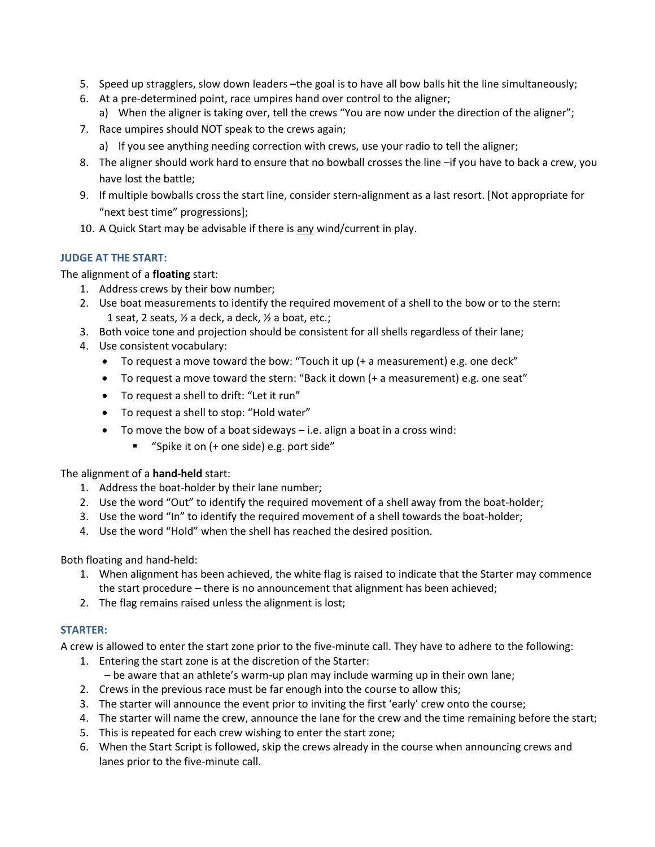- 5. Speed up stragglers, slow down leaders –the goal is to have all bow balls hit the line simultaneously;
- 6. At a pre-determined point, race umpires hand over control to the aligner;
	- a) When the aligner is taking over, tell the crews "You are now under the direction of the aligner";
- 7. Race umpires should NOT speak to the crews again;
	- a) If you see anything needing correction with crews, use your radio to tell the aligner;
- 8. The aligner should work hard to ensure that no bowball crosses the line –if you have to back a crew, you have lost the battle;
- 9. If multiple bowballs cross the start line, consider stern-alignment as a last resort. [Not appropriate for "next best time" progressions];
- 10. A Quick Start may be advisable if there is any wind/current in play.

# **JUDGE AT THE START:**

The alignment of a **floating** start:

- 1. Address crews by their bow number;
- 2. Use boat measurements to identify the required movement of a shell to the bow or to the stern: 1 seat, 2 seats,  $\frac{1}{2}$  a deck, a deck,  $\frac{1}{2}$  a boat, etc.;
- 3. Both voice tone and projection should be consistent for all shells regardless of their lane;
- 4. Use consistent vocabulary:
	- To request a move toward the bow: "Touch it up (+ a measurement) e.g. one deck"
	- To request a move toward the stern: "Back it down (+ a measurement) e.g. one seat"
	- To request a shell to drift: "Let it run"
	- To request a shell to stop: "Hold water"
	- To move the bow of a boat sideways i.e. align a boat in a cross wind:
		- "Spike it on (+ one side) e.g. port side"

The alignment of a **hand-held** start:

- 1. Address the boat-holder by their lane number;
- 2. Use the word "Out" to identify the required movement of a shell away from the boat-holder;
- 3. Use the word "In" to identify the required movement of a shell towards the boat-holder;
- 4. Use the word "Hold" when the shell has reached the desired position.

Both floating and hand-held:

- 1. When alignment has been achieved, the white flag is raised to indicate that the Starter may commence the start procedure – there is no announcement that alignment has been achieved;
- 2. The flag remains raised unless the alignment is lost;

# **STARTER:**

A crew is allowed to enter the start zone prior to the five-minute call. They have to adhere to the following:

- 1. Entering the start zone is at the discretion of the Starter: – be aware that an athlete's warm-up plan may include warming up in their own lane;
- 2. Crews in the previous race must be far enough into the course to allow this;
- 3. The starter will announce the event prior to inviting the first 'early' crew onto the course;
- 4. The starter will name the crew, announce the lane for the crew and the time remaining before the start;
- 5. This is repeated for each crew wishing to enter the start zone;
- 6. When the Start Script is followed, skip the crews already in the course when announcing crews and lanes prior to the five-minute call.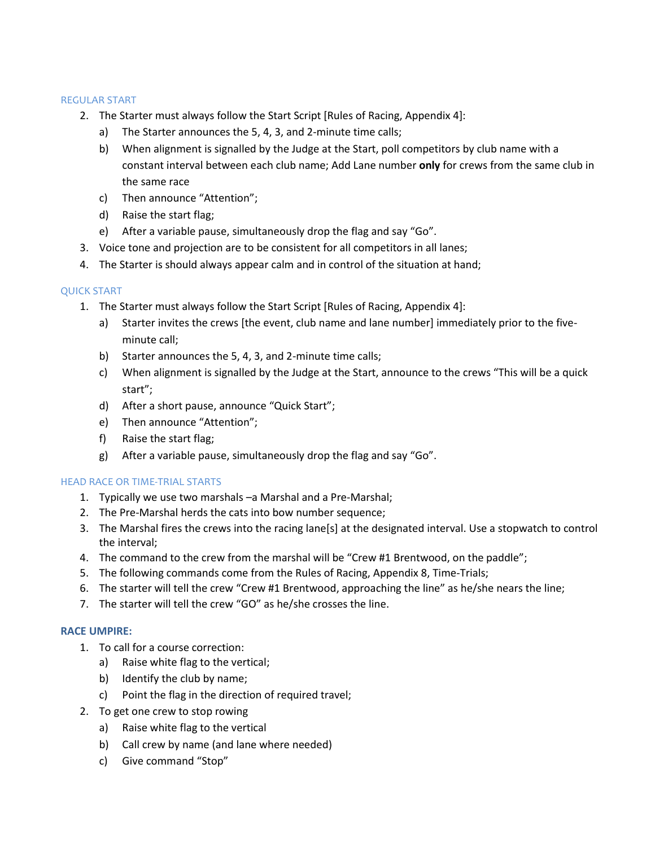#### REGULAR START

- 2. The Starter must always follow the Start Script [Rules of Racing, Appendix 4]:
	- a) The Starter announces the 5, 4, 3, and 2-minute time calls;
	- b) When alignment is signalled by the Judge at the Start, poll competitors by club name with a constant interval between each club name; Add Lane number **only** for crews from the same club in the same race
	- c) Then announce "Attention";
	- d) Raise the start flag;
	- e) After a variable pause, simultaneously drop the flag and say "Go".
- 3. Voice tone and projection are to be consistent for all competitors in all lanes;
- 4. The Starter is should always appear calm and in control of the situation at hand;

# QUICK START

- 1. The Starter must always follow the Start Script [Rules of Racing, Appendix 4]:
	- a) Starter invites the crews [the event, club name and lane number] immediately prior to the fiveminute call;
	- b) Starter announces the 5, 4, 3, and 2-minute time calls;
	- c) When alignment is signalled by the Judge at the Start, announce to the crews "This will be a quick start";
	- d) After a short pause, announce "Quick Start";
	- e) Then announce "Attention";
	- f) Raise the start flag;
	- g) After a variable pause, simultaneously drop the flag and say "Go".

# HEAD RACE OR TIME-TRIAL STARTS

- 1. Typically we use two marshals –a Marshal and a Pre-Marshal;
- 2. The Pre-Marshal herds the cats into bow number sequence;
- 3. The Marshal fires the crews into the racing lane[s] at the designated interval. Use a stopwatch to control the interval;
- 4. The command to the crew from the marshal will be "Crew #1 Brentwood, on the paddle";
- 5. The following commands come from the Rules of Racing, Appendix 8, Time-Trials;
- 6. The starter will tell the crew "Crew #1 Brentwood, approaching the line" as he/she nears the line;
- 7. The starter will tell the crew "GO" as he/she crosses the line.

# **RACE UMPIRE:**

- 1. To call for a course correction:
	- a) Raise white flag to the vertical;
	- b) Identify the club by name;
	- c) Point the flag in the direction of required travel;
- 2. To get one crew to stop rowing
	- a) Raise white flag to the vertical
	- b) Call crew by name (and lane where needed)
	- c) Give command "Stop"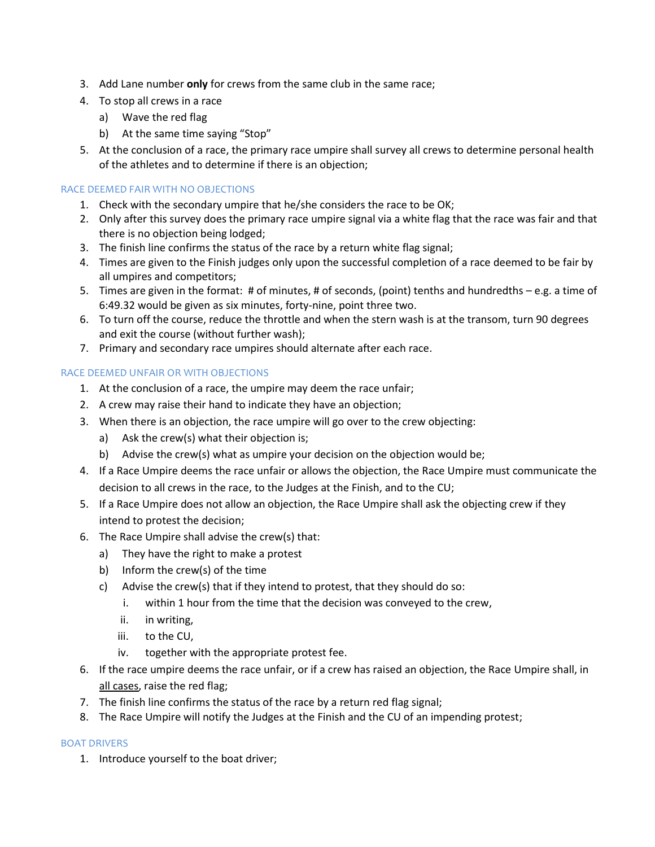- 3. Add Lane number **only** for crews from the same club in the same race;
- 4. To stop all crews in a race
	- a) Wave the red flag
	- b) At the same time saying "Stop"
- 5. At the conclusion of a race, the primary race umpire shall survey all crews to determine personal health of the athletes and to determine if there is an objection;

# RACE DEEMED FAIR WITH NO OBJECTIONS

- 1. Check with the secondary umpire that he/she considers the race to be OK;
- 2. Only after this survey does the primary race umpire signal via a white flag that the race was fair and that there is no objection being lodged;
- 3. The finish line confirms the status of the race by a return white flag signal;
- 4. Times are given to the Finish judges only upon the successful completion of a race deemed to be fair by all umpires and competitors;
- 5. Times are given in the format: # of minutes, # of seconds, (point) tenths and hundredths e.g. a time of 6:49.32 would be given as six minutes, forty-nine, point three two.
- 6. To turn off the course, reduce the throttle and when the stern wash is at the transom, turn 90 degrees and exit the course (without further wash);
- 7. Primary and secondary race umpires should alternate after each race.

#### RACE DEEMED UNFAIR OR WITH OBJECTIONS

- 1. At the conclusion of a race, the umpire may deem the race unfair;
- 2. A crew may raise their hand to indicate they have an objection;
- 3. When there is an objection, the race umpire will go over to the crew objecting:
	- a) Ask the crew(s) what their objection is;
	- b) Advise the crew(s) what as umpire your decision on the objection would be;
- 4. If a Race Umpire deems the race unfair or allows the objection, the Race Umpire must communicate the decision to all crews in the race, to the Judges at the Finish, and to the CU;
- 5. If a Race Umpire does not allow an objection, the Race Umpire shall ask the objecting crew if they intend to protest the decision;
- 6. The Race Umpire shall advise the crew(s) that:
	- a) They have the right to make a protest
	- b) Inform the crew(s) of the time
	- c) Advise the crew(s) that if they intend to protest, that they should do so:
		- i. within 1 hour from the time that the decision was conveyed to the crew,
		- ii. in writing,
		- iii. to the CU,
		- iv. together with the appropriate protest fee.
- 6. If the race umpire deems the race unfair, or if a crew has raised an objection, the Race Umpire shall, in all cases, raise the red flag;
- 7. The finish line confirms the status of the race by a return red flag signal;
- 8. The Race Umpire will notify the Judges at the Finish and the CU of an impending protest;

# BOAT DRIVERS

1. Introduce yourself to the boat driver;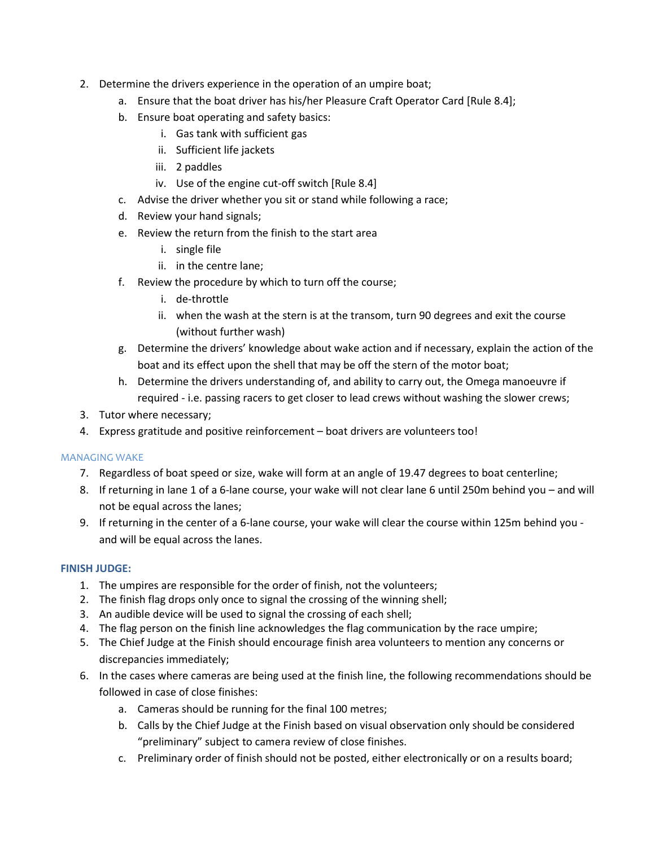- 2. Determine the drivers experience in the operation of an umpire boat;
	- a. Ensure that the boat driver has his/her Pleasure Craft Operator Card [Rule 8.4];
	- b. Ensure boat operating and safety basics:
		- i. Gas tank with sufficient gas
		- ii. Sufficient life jackets
		- iii. 2 paddles
		- iv. Use of the engine cut-off switch [Rule 8.4]
	- c. Advise the driver whether you sit or stand while following a race;
	- d. Review your hand signals;
	- e. Review the return from the finish to the start area
		- i. single file
		- ii. in the centre lane;
	- f. Review the procedure by which to turn off the course;
		- i. de-throttle
		- ii. when the wash at the stern is at the transom, turn 90 degrees and exit the course (without further wash)
	- g. Determine the drivers' knowledge about wake action and if necessary, explain the action of the boat and its effect upon the shell that may be off the stern of the motor boat;
	- h. Determine the drivers understanding of, and ability to carry out, the Omega manoeuvre if required - i.e. passing racers to get closer to lead crews without washing the slower crews;
- 3. Tutor where necessary;
- 4. Express gratitude and positive reinforcement boat drivers are volunteers too!

# MANAGING WAKE

- 7. Regardless of boat speed or size, wake will form at an angle of 19.47 degrees to boat centerline;
- 8. If returning in lane 1 of a 6-lane course, your wake will not clear lane 6 until 250m behind you and will not be equal across the lanes;
- 9. If returning in the center of a 6-lane course, your wake will clear the course within 125m behind you and will be equal across the lanes.

# **FINISH JUDGE:**

- 1. The umpires are responsible for the order of finish, not the volunteers;
- 2. The finish flag drops only once to signal the crossing of the winning shell;
- 3. An audible device will be used to signal the crossing of each shell;
- 4. The flag person on the finish line acknowledges the flag communication by the race umpire;
- 5. The Chief Judge at the Finish should encourage finish area volunteers to mention any concerns or discrepancies immediately;
- 6. In the cases where cameras are being used at the finish line, the following recommendations should be followed in case of close finishes:
	- a. Cameras should be running for the final 100 metres;
	- b. Calls by the Chief Judge at the Finish based on visual observation only should be considered "preliminary" subject to camera review of close finishes.
	- c. Preliminary order of finish should not be posted, either electronically or on a results board;